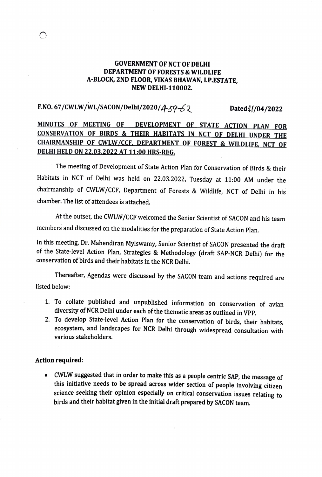### GOVERNMENT OF NCT OF DELHI DEPARTMENT OF FORESTS & WILDLIFE A-BLOCK, 2ND FLOOR, VIKAS BHAWAN, L.P.ESTATE NEW DELHI-110002.

# F.NO. 67/CWLW/WL/SACON/Delhi/2020/ $459 - 62$  Dated: $1/04/2022$

### MINUTES OF MEETING OF DEVELOPMENT OF STATE ACTION PLAN FOR CONSERVATION OF BIRDS & THEIR HABITATS IN NCT OF DELHI UNDER THE CHAIRMANSHIP OF CWLW/CCE DEPARTMENT OF FOREST & WILDLIFE, NCT OF DELHLHELD ON 22.03.2022 AT 11:00 HRS-REG

The meeting of Development of State Action Plan for Conservation of Birds & their Habitats in NCT of Delhi was held on 22.03.2022, Tuesday at 11:00 AM under the chairmanship of CWLW/CCF, Department of Forests & Wildlife, NCT of Delhi in his chamber. The list of attendees is attached.

At the outset, the CWLW/CCF welcomed the Senior Scientist of SACON and his team members and discussed on the modalities for the preparation of State Action Plan.

In this meeting, Dr. Mahendiran Mylswamy, Senior Scientist of SACON presented the draft of the State-level Action Plan, Strategies & Methodology (draft SAP-NCR Delhi) for the conservation of birds and their habitats in the NCR Delhi.

Thereafter, Agendas were discussed by the SACON team and actions required are listed below:

- 1. To collate published and unpublished information on conservation of avian diversity of NCR Delhi under each of the thematic areas as outlined in VPP.
- 2. To develop State-level Action Plan for the conservation of birds, their habitats, ecosystem, and landscapes for NCR Delhi through widespread consultation with various stakeholders.

#### Action required:

. CWLW suggested that in order to make this as a people centric SAP, the message of this initiative needs to be spread across wider section of people involving citizen science seeking their opinion especially on critical conservation issues relating to birds and their habitat given in the initial draft prepared by SACON team.